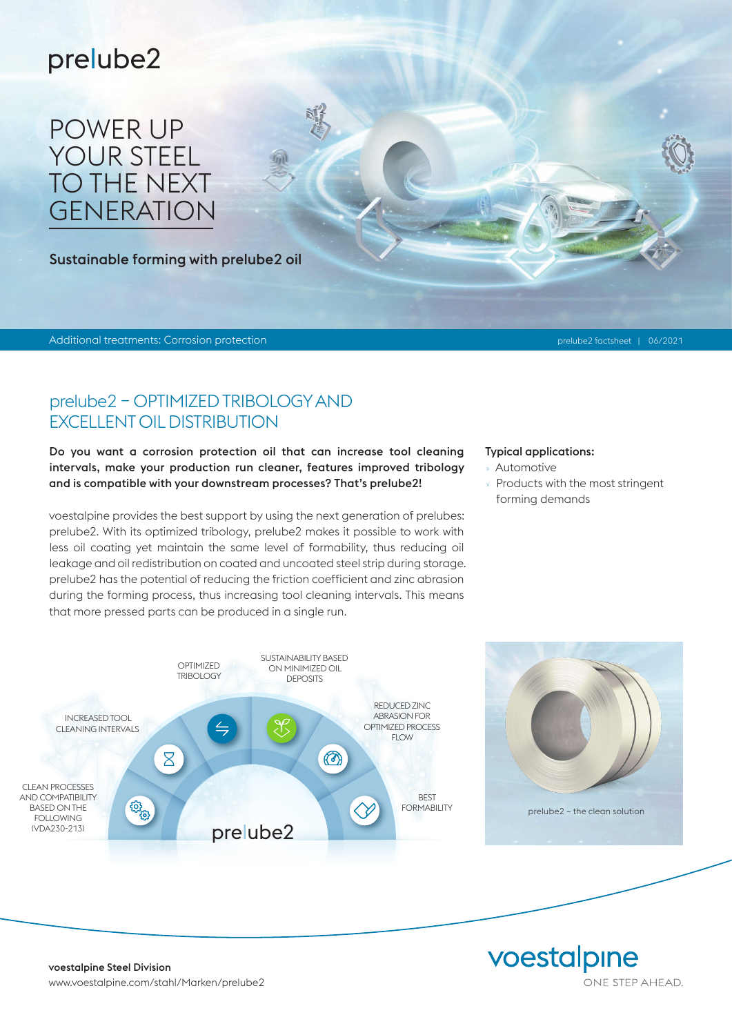## prelube2

## POWER UP YOUR STEEL TO THE NEXT *GENERATION*

Sustainable forming with prelube2 oil

Additional treatments: Corrosion protection prelube2 factsheet | 06/2021

#### prelube2 – OPTIMIZED TRIBOLOGY AND EXCELLENT OIL DISTRIBUTION

Do you want a corrosion protection oil that can increase tool cleaning intervals, make your production run cleaner, features improved tribology and is compatible with your downstream processes? That's prelube2!

voestalpine provides the best support by using the next generation of prelubes: prelube2. With its optimized tribology, prelube2 makes it possible to work with less oil coating yet maintain the same level of formability, thus reducing oil leakage and oil redistribution on coated and uncoated steel strip during storage. prelube2 has the potential of reducing the friction coefficient and zinc abrasion during the forming process, thus increasing tool cleaning intervals. This means that more pressed parts can be produced in a single run.

#### Typical applications:

- » Automotive
- Products with the most stringent forming demands